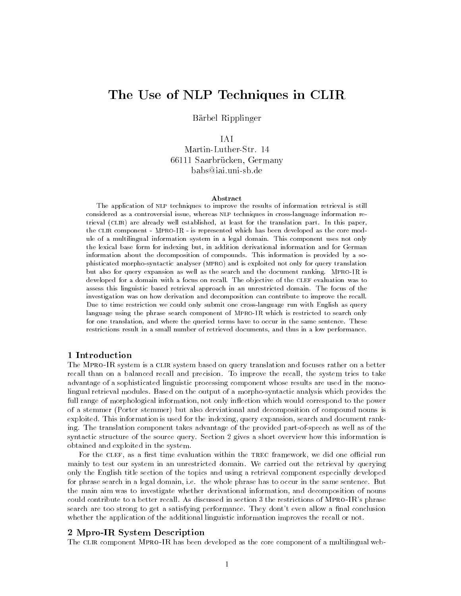# The Use of NLP Techniques in CLIR

Barbel Ripplinger

## IAI.

Martin-Luther-Str. 14 66111 Saarbrucken, Germany babs@iai.uni-sb.de

#### Abstract

The application of NLP techniques to improve the results of information retrieval is still considered as a controversial issue, whereas NLP techniques in cross-language information retrieval (clir) are already well established, at least for the translation part. In this paper, the clir component - Mpro-IR - is represented which has been developed as the core module of a multilingual information system in a legal domain. This component uses not only the lexical base form for indexing but, in addition derivational information and for German information about the decomposition of compounds. This information is provided by a sophisticated morpho-syntactic analyser (mpro) and is exploited not only for query translation but also for query expansion as well as the search and the document ranking. Mpro-IR is developed for a domain with a focus on recall. The objective of the CLEF evaluation was to assess this linguistic based retrieval approach in an unrestricted domain. The focus of the investigation was on how derivation and decomposition can contribute to improve the recall. Due to time restriction we could only submit one cross-language run with English as query language using the phrase search component of Mpro-IR which is restricted to search only for one translation, and where the queried terms have to occur in the same sentence. These restrictions result in a small number of retrieved documents, and thus in a low performance.

## 1 Introduction

The Mpro-IR system is a clir system based on query translation and focuses rather on a better recall than on a balanced recall and precision. To improve the recall, the system tries to take advantage of a sophisticated linguistic processing component whose results are used in the monolingual retrieval modules. Based on the output of a morpho-syntactic analysis which provides the full range of morphological information, not only inflection which would correspond to the power of a stemmer (Porter stemmer) but also derviational and decomposition of compound nouns is exploited. This information is used for the indexing, query expansion, search and document ranking. The translation component takes advantage of the provided part-of-speech as well as of the syntactic structure of the source query. Section 2 gives a short overview how this information is obtained and exploited in the system.

For the CLEF, as a first time evaluation within the TREC framework, we did one official run mainly to test our system in an unrestricted domain. We carried out the retrieval by querying only the English title section of the topics and using a retrieval component especially developed for phrase search in a legal domain, i.e. the whole phrase has to occur in the same sentence. But the main aim was to investigate whether derivational information, and decomposition of nouns could contribute to a better recall. As discussed in section 3 the restrictions of Mpro-IR's phrase search are too strong to get a satisfying performance. They dont't even allow a final conclusion whether the application of the additional linguistic information improves the recall or not.

## 2 Mpro-IR System Description

The CLIR component MPRO-IR has been developed as the core component of a multilingual web-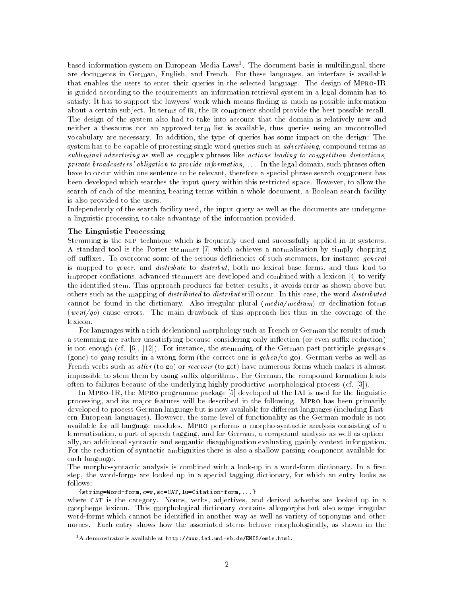based information system on European Media Laws". The document basis is multilingual, there are documents in German, English, and French. For these languages, an interface is available that enables the users to enter their queries in the selected language. The design of Mpro-IR is guided according to the requirements an information retrieval system in a legal domain has to satisfy: It has to support the lawyers' work which means finding as much as possible information about a certain subject. In terms of IR, the IR component should provide the best possible recall. The design of the system also had to take into account that the domain is relatively new and neither a thesaurus nor an approved term list is available, thus queries using an uncontrolled vocabulary are necessary. In addition, the type of queries has some impact on the design: The system has to be capable of processing single word queries such as *advertising*, compound terms as subliminal advertising as well as complex phrases like actions leading to competition distortions. private broadcasters' obligation to provide information,  $\dots$  In the legal domain, such phrases often have to occur within one sentence to be relevant, therefore a special phrase search component has been developed which searches the input query within this restricted space. However, to allow the search of each of the meaning bearing terms within a whole document, a Boolean search facility is also provided to the users. is also provided to the users. The users of the users of the users of the users of the users of the users. The

Independently of the search facility used, the input query as well as the documents are undergone a linguistic processing to take advantage of the information provided.

## The Linguistic Processing

Stemming is the NLP technique which is frequently used and successfully applied in IR systems. A standard tool is the Porter stemmer [7] which achieves a normalisation by simply chopping off suffixes. To overcome some of the serious deficiencies of such stemmers, for instance *general* on sures. To overcome some of the serious definition of the serious definition  $\mathbf{f}_i$ is mapped to gener, and distribute to distribut, both no lexical base forms, and thus lead to improper conflations, advanced stemmers are developed and combined with a lexicon [4] to verify the identied stem. This approach produces far better results, it avoids error as shown above but others such as the mapping of distributed to distribut still occur. In this case, the word distributed cannot be found in the dictionary. Also irregular plural  $(media/medium)$  or declination forms (went/go) cause errors. The main drawback of this approach lies thus in the coverage of the lexicon.

For languages with a rich declensional morphology such as French or German the results of such a stemming are rather unsatisfying because considering only inflection (or even suffix reduction) is not enough (cf.  $[6]$ ,  $[12]$ ). For instance, the stemming of the German past participle *gegangen* (gone) to gang results in a wrong form (the correct one is  $gehen/to go$ ). German verbs as well as French verbs such as aller (to go) or recevoir (to get) have numerous forms which makes it almost impossible to stem them by using suffix algorithms. For German, the compound formation leads often to failures because of the underlying highly productive morphological process (cf. [3]).

In MPRO-IR, the MPRO programme package [5] developed at the IAI is used for the linguistic processing, and its major features will be described in the following. MPRO has been primarily developed to process German language but is now available for different languages (including Eastern European languages). However, the same level of functionality as the German module is not available for all language modules. MPRO performs a morpho-syntactic analysis consisting of a lemmatisation, a part-of-speech tagging, and for German, a compound analysis as well as optionally, an additional syntactic and semantic disambiguation evaluating mainly context information. For the reduction of syntactic ambiguities there is also a shallow parsing component available for each language.

The morpho-syntactic analysis is combined with a look-up in a word-form dictionary. In a first step, the word-forms are looked up in a special tagging dictionary, for which an entry looks as follows:

{string=Word-form,c=w,sc=CAT,lu=Citation-form,...}

where CAT is the category. Nouns, verbs, adjectives, and derived adverbs are looked up in a morpheme lexicon. This morphological dictionary contains allomorphs but also some irregular word-forms which cannot be identied in another way as well as variety of toponyms and other names. Each entry shows how the associated stems behave morphologically, as shown in the

 $^1$  A demonstrator is available at  ${\tt http://www.iai.uni-sb.de/EMIS/emis.html.}$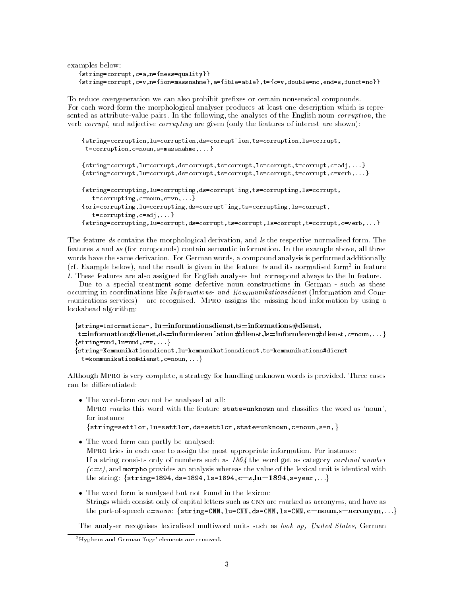examples below:

```
{string=corrupt,c=a,n={ness=quality}}
{string=corrupt,c=v,n={ion=massnahme},a={ible=able},t={c=v,double=no,end=s,funct=no}}
```
To reduce overgeneration we can also prohibit prefixes or certain nonsensical compounds. For each word-form the morphological analyser produces at least one description which is represented as attribute-value pairs. In the following, the analyses of the English noun *corruption*, the verb *corrupt*, and adjective *corrupting* are given (only the features of interest are shown):

```
{string=corruption,lu=corruption,ds=corrupt~ion,ts=corruption,ls=corrupt,
t=corruption,c=noun,s=massnahme,...}
{string=corrupt,lu=corrupt,ds=corrupt,ts=corrupt,ls=corrupt,t=corrupt,c=adj,...}
{string=corrupt,lu=corrupt,ds=corrupt,ts=corrupt,ls=corrupt,t=corrupt,c=verb,...}
{string=corrupting,lu=corrupting,ds=corrupt~ing,ts=corrupting,ls=corrupt,
   t=corrupting,c=noun,s=vn,...}
{ori=corrupting,lu=corrupting,ds=corrupt~ing,ts=corrupting,ls=corrupt,
   t=corrupting,c=adj,...}
{string=corrupting,lu=corrupt,ds=corrupt,ts=corrupt,ls=corrupt,t=corrupt,c=verb,...}
```
The feature ds contains the morphological derivation, and ls the respective normalised form. The features s and ss (for compounds) contain semantic information. In the example above, all three words have the same derivation. For German words, a compound analysis is performed additionally (cf. Example below), and the result is given in the feature  $\,$   $\,$   $\,$  and its normalised form  $\,$  in feature  $\,$ t. These features are also assigned for English analyses but correspond always to the lu feature.

Due to a special treatment some defective noun constructions in German - such as these occurring in coordinations like Informations- und Kommunikationsdienst (Information and Com munications services) - are recognised. MPRO assigns the missing head information by using a lookahead algorithm:

```
fstring=Informations-, lu=informationsdienst,ts=informations#dienst,
 t=information#dienst,ds=informieren~ation#dienst,ls=informieren#dienst,c=noun,...}
\{string=und,lu=und,c=v,...\}fstring=Kommunikationsdienst,lu=kommunikationsdienst,ts=kommunikations#dienst
 t=kommunikation#dienst,c=noun,...}
```
Although Mpro is very complete, a strategy for handling unknown words is provided. Three cases can be differentiated:

 The word-form can not be analysed at all: MPRO marks this word with the feature state=unknown and classifies the word as 'noun', for instance

```
{string-set}lor,lu=settlor,ds=settlor,state=unknown,c=noun,s=n,}
```
- The word-form can partly be analysed: Mpro tries in each case to assign the most appropriate information. For instance: If a string consists only of numbers such as 1864 the word get as category cardinal number  $(c=z)$ , and morpho provides an analysis whereas the value of the lexical unit is identical with the string:  $\{string=1894, ds=1894, ls=1894, c=x, lu=1894, s=year,...\}$
- The word form is analysed but not found in the lexicon: Strings which consist only of capital letters such as CNN are marked as acronyms, and have as the part-of-speech  $c=noun$ :  $\{string=CMN,lu=CMN,ds=CMN,ls=CMN,c=noun,s=acronym,...\}$

The analyser recognises lexicalised multiword units such as look up, United States, German

<sup>2</sup>Hyphens and German 'fuge' elements are removed.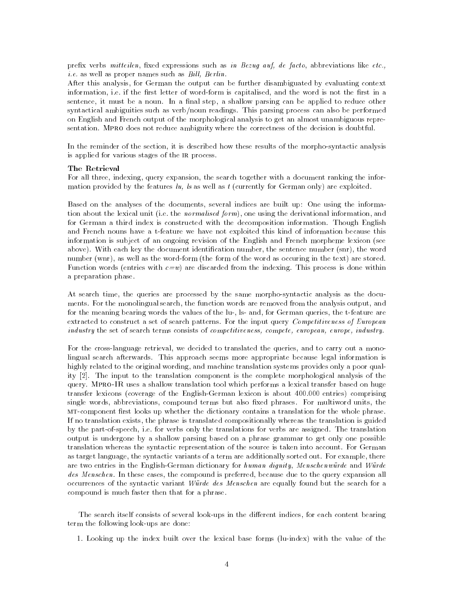prefix verbs mitteilen, fixed expressions such as in Bezug auf, de facto, abbreviations like etc.,  $i.e.$  as well as proper names such as  $Bill, Berlin.$ 

After this analysis, for German the output can be further disambiguated by evaluating context information, i.e. if the first letter of word-form is capitalised, and the word is not the first in a sentence, it must be a noun. In a final step, a shallow parsing can be applied to reduce other syntactical ambiguities such as verb/noun readings. This parsing process can also be performed on English and French output of the morphological analysis to get an almost unambiguous representation. Mpro does not reduce ambiguity where the correctness of the decision is doubtful.

In the reminder of the section, it is described how these results of the morpho-syntactic analysis is applied for various stages of the IR process.

#### The Retrieval

For all three, indexing, query expansion, the search together with a document ranking the information provided by the features  $lu$ , is as well as  $t$  (currently for German only) are exploited.

Based on the analyses of the documents, several indices are built up: One using the information about the lexical unit (i.e. the *normalised form*), one using the derivational information, and for German a third index is constructed with the decomposition information. Though English and French nouns have a t-feature we have not exploited this kind of information because this information is subject of an ongoing revision of the English and French morpheme lexicon (see above). With each key the document identification number, the sentence number (snr), the word number (wnr), as well as the word-form (the form of the word as occuring in the text) are stored. Function words (entries with  $c=w$ ) are discarded from the indexing. This process is done within a preparation phase.

At search time, the queries are processed by the same morpho-syntactic analysis as the docu ments. For the monolingual search, the function words are removed from the analysis output, and for the meaning bearing words the values of the lu-, ls- and, for German queries, the t-feature are extracted to construct a set of search patterns. For the input query Competitiveness of European industry the set of search terms consists of competitiveness, compete, european, europe, industry.

For the cross-language retrieval, we decided to translated the queries, and to carry out a monolingual search afterwards. This approach seems more appropriate because legal information is highly related to the original wording, and machine translation systems provides only a poor quality [2]. The input to the translation component is the complete morphological analysis of the query. Mpro-IR uses a shallow translation tool which performs a lexical transfer based on huge transfer lexicons (coverage of the English-German lexicon is about 400.000 entries) comprising single words, abbreviations, compound terms but also fixed phrases. For multiword units, the MT-component first looks up whether the dictionary contains a translation for the whole phrase. If no translation exists, the phrase is translated compositionally whereas the translation is guided by the part-of-speech, i.e. for verbs only the translations for verbs are assigned. The translation output is undergone by a shallow parsing based on a phrase grammar to get only one possible translation whereas the syntactic representation of the source is taken into account. For German as target language, the syntactic variants of a term are additionally sorted out. For example, there are two entries in the English-German dictionary for human dignity, Menschenwürde and Würde des Menschen. In these cases, the compound is preferred, because due to the query expansion all occurrences of the syntactic variant Würde des Menschen are equally found but the search for a compound is much faster then that for a phrase.

The search itself consists of several look-ups in the different indices, for each content bearing term the following look-ups are done:

1. Looking up the index built over the lexical base forms (lu-index) with the value of the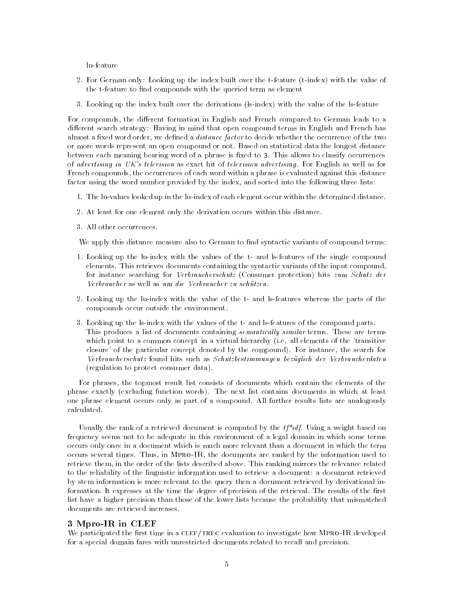lu-feature

- 2. For German only: Looking up the index built over the t-feature (t-index) with the value of the t-feature to find compounds with the queried term as element
- 3. Looking up the index built over the derivations (ls-index) with the value of the ls-feature

For compounds, the different formation in English and French compared to German leads to a different search strategy: Having in mind that open compound terms in English and French has almost a fixed word order, we defined a *distance factor* to decide whether the occurrence of the two or more words represent an open compound or not. Based on statistical data the longest distance between each meaning bearing word of a phrase is fixed to 3. This allows to classify occurrences of advertising in UK's television as exact hit of television advertising. For English as well as for French compounds, the occurrences of each word within a phrase is evaluated against this distance factor using the word number provided by the index, and sorted into the following three lists:

- 1. The lu-values looked up in the lu-index of each element occur within the determined distance.
- 2. At least for one element only the derivation occurs within this distance.
- 3. All other occurrences.

We apply this distance measure also to German to find syntactic variants of compound terms:

- 1. Looking up the lu-index with the values of the t- and ls-features of the single compound elements. This retrieves documents containing the syntactic variants of the input compound, for instance searching for Verbraucherschutz (Consumer protection) hits zum Schutz der Verbraucher as well as um die Verbraucher zu schützen.
- 2. Looking up the lu-index with the value of the t- and ls-features whereas the parts of the compounds occur outside the environment.
- 3. Looking up the ls-index with the values of the t- and ls-features of the compound parts. This produces a list of documents containing semantically similar terms. These are terms which point to a common concept in a virtual hierarchy (i.e. all elements of the 'transitive closure' of the particular concept denoted by the compound). For instance, the search for Verbraucherschutz found hits such as Schutzbestimmungen bezuglich der Verbraucherdaten (regulation to protect consumer data).

For phrases, the topmost result list consists of documents which contain the elements of the phrase exactly (excluding function words). The next list contains documents in which at least one phrase element occurs only as part of a compound. All further results lists are analogously calculated.

Usually the rank of a retrieved document is computed by the  $tf*idf$ . Using a weight based on frequency seems not to be adequate in this environment of a legal domain in which some terms occurs only once in a document which is much more relevant than a document in which the term occurs several times. Thus, in Mpro-IR, the documents are ranked by the information used to retrieve them, in the order of the lists described above. This ranking mirrors the relevance related to the reliability of the linguistic information used to retrieve a document: a document retrieved by stem information is more relevant to the query then a document retrieved by derivational information. It expresses at the time the degree of precision of the retrieval. The results of the first list have a higher precision than those of the lower lists because the probability that mismatched documents are retrieved increases.

## 3 Mpro-IR in CLEF

We participated the first time in a CLEF/TREC evaluation to investigate how MPRO-IR developed for a special domain fares with unrestricted documents related to recall and precision.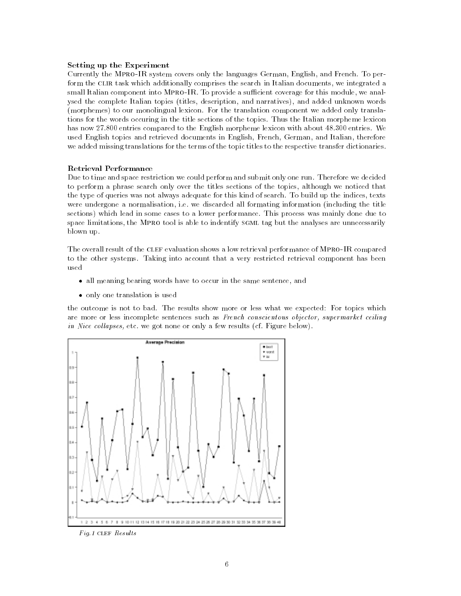### Setting up the Experiment

Currently the Mpro-IR system covers only the languages German, English, and French. To perform the clir task which additionally comprises the search in Italian documents, we integrated a small Italian component into MPRO-IR. To provide a sufficient coverage for this module, we analysed the complete Italian topics (titles, description, and narratives), and added unknown words (morphemes) to our monolingual lexicon. For the translation component we added only translations for the words occuring in the title sections of the topics. Thus the Italian morpheme lexicon has now 27.800 entries compared to the English morpheme lexicon with about 48.300 entries. We used English topics and retrieved documents in English, French, German, and Italian, therefore we added missing translations for the terms of the topic titles to the respective transfer dictionaries.

#### Retrieval Performance

Due to time and space restriction we could perform and submit only one run. Therefore we decided to perform a phrase search only over the titles sections of the topics, although we noticed that the type of queries was not always adequate for this kind of search. To build up the indices, texts were undergone a normalisation, i.e. we discarded all formating information (including the title sections) which lead in some cases to a lower performance. This process was mainly done due to space limitations, the MPRO tool is able to indentify sGML tag but the analyses are unnecessarily blown up.

The overall result of the clef evaluation shows a low retrieval performance of Mpro-IR compared to the other systems. Taking into account that a very restricted retrieval component has been used

- all meaning bearing words have to occur in the same sentence, and
- only one translation is used

the outcome is not to bad. The results show more or less what we expected: For topics which are more or less incomplete sentences such as French conscientous objector, supermarket ceiling in Nice collapses, etc. we got none or only a few results (cf. Figure below).



Fig.1 CLEF Results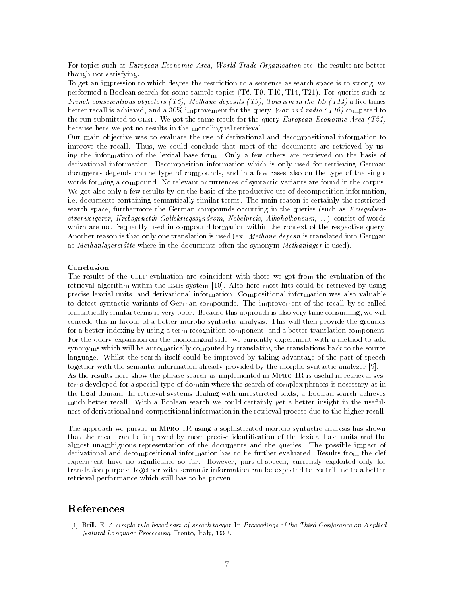For topics such as European Economic Area, World Trade Organisation etc. the results are better though not satisfying.

To get an impression to which degree the restriction to a sentence as search space is to strong, we performed a Boolean search for some sample topics (T6, T9, T10, T14, T21). For queries such as French conscientious objectors (T6), Methane deposits (T9), Tourism in the US (T14) a five times better recall is achieved, and a 30% improvement for the query War and radio (T10) compared to the run submitted to CLEF. We got the same result for the query European Economic Area (T21) because here we got no results in the monolingual retrieval.

Our main objective was to evaluate the use of derivational and decompositional information to improve the recall. Thus, we could conclude that most of the documents are retrieved by using the information of the lexical base form. Only a few others are retrieved on the basis of derivational information. Decomposition information which is only used for retrieving German documents depends on the type of compounds, and in a few cases also on the type of the single words forming a compound. No relevant occurrences of syntactic variants are found in the corpus. We got also only a few results by on the basis of the productive use of decomposition information, i.e. documents containing semantically similar terms. The main reason is certainly the restricted search space, furthermore the German compounds occurring in the queries (such as Kriegsdienstverweigerer, Krebsgenetik Golfskriegssyndrom, Nobelpreis, Alkoholkonsum,. . . ) consist of words which are not frequently used in compound formation within the context of the respective query. Another reason is that only one translation is used (ex: *Methane deposit* is translated into German as *Methanlagerstätte* where in the documents often the synonym *Methanlager* is used).

#### Conclusion

The results of the CLEF evaluation are coincident with those we got from the evaluation of the retrieval algorithm within the emis system [10]. Also here most hits could be retrieved by using precise lexcial units, and derivational information. Compositional information was also valuable to detect syntactic variants of German compounds. The improvement of the recall by so-called semantically similar terms is very poor. Because this approach is also very time consuming, we will concede this in favour of a better morpho-syntactic analysis. This will then provide the grounds for a better indexing by using a term recognition component, and a better translation component. For the query expansion on the monolingual side, we currently experiment with a method to add synonyms which will be automatically computed by translating the translations back to the source language. Whilst the search itself could be improved by taking advantage of the part-of-speech together with the semantic information already provided by the morpho-syntactic analyzer [9]. As the results here show the phrase search as implemented in Mpro-IR is useful in retrieval systems developed for a special type of domain where the search of complex phrases is necessary as in the legal domain. In retrieval systems dealing with unrestricted texts, a Boolean search achieves much better recall. With a Boolean search we could certainly get a better insight in the usefulness of derivational and compositional information in the retrieval process due to the higher recall.

The approach we pursue in Mpro-IR using a sophisticated morpho-syntactic analysis has shown that the recall can be improved by more precise identication of the lexical base units and the almost unambiguous representation of the documents and the queries. The possible impact of derivational and decompositional information has to be further evaluated. Results from the clef experiment have no signicance so far. However, part-of-speech, currently exploited only for translation purpose together with semantic information can be expected to contribute to a better retrieval performance which still has to be proven.

## References

[1] Brill, E. A simple rule-based part-of-speech tagger. In Proceedings of the Third Conference on Applied Natural Language Processing, Trento, Italy, 1992.